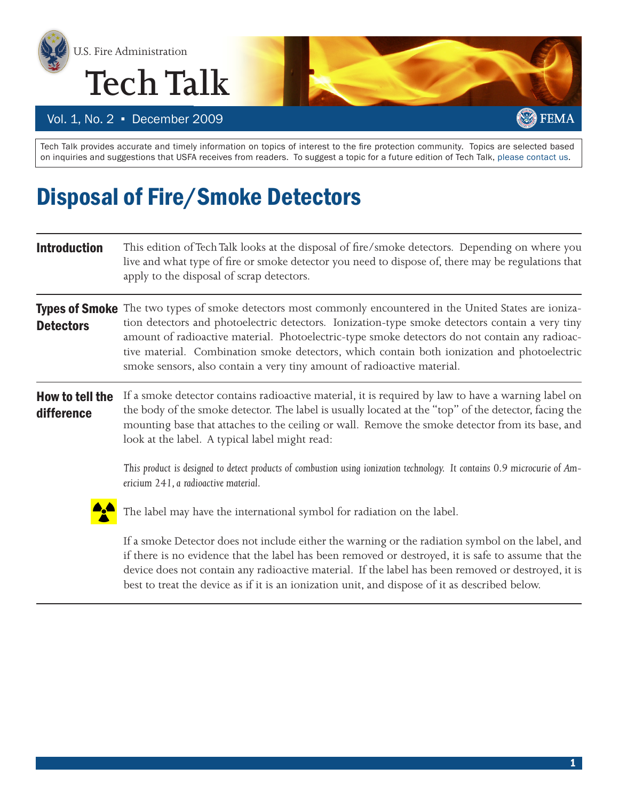



Vol. 1, No. 2 · December 2009

Tech Talk provides accurate and timely information on topics of interest to the fire protection community. Topics are selected based on inquiries and suggestions that USFA receives from readers. To suggest a topic for a future edition of Tech Talk, [please contact us](https://www.usfa.dhs.gov/applications/feedback/).

## Disposal of Fire/Smoke Detectors

| <b>Introduction</b>           | This edition of Tech Talk looks at the disposal of fire/smoke detectors. Depending on where you<br>live and what type of fire or smoke detector you need to dispose of, there may be regulations that<br>apply to the disposal of scrap detectors.                                                                                                                                                                                                                                        |  |  |
|-------------------------------|-------------------------------------------------------------------------------------------------------------------------------------------------------------------------------------------------------------------------------------------------------------------------------------------------------------------------------------------------------------------------------------------------------------------------------------------------------------------------------------------|--|--|
| <b>Detectors</b>              | Types of Smoke The two types of smoke detectors most commonly encountered in the United States are ioniza-<br>tion detectors and photoelectric detectors. Ionization-type smoke detectors contain a very tiny<br>amount of radioactive material. Photoelectric-type smoke detectors do not contain any radioac-<br>tive material. Combination smoke detectors, which contain both ionization and photoelectric<br>smoke sensors, also contain a very tiny amount of radioactive material. |  |  |
| How to tell the<br>difference | If a smoke detector contains radioactive material, it is required by law to have a warning label on<br>the body of the smoke detector. The label is usually located at the "top" of the detector, facing the<br>mounting base that attaches to the ceiling or wall. Remove the smoke detector from its base, and<br>look at the label. A typical label might read:                                                                                                                        |  |  |
|                               | This product is designed to detect products of combustion using ionization technology. It contains 0.9 microcurie of Am-<br>ericium 241, a radioactive material.                                                                                                                                                                                                                                                                                                                          |  |  |
|                               | The label may have the international symbol for radiation on the label.                                                                                                                                                                                                                                                                                                                                                                                                                   |  |  |
|                               | If a smoke Detector does not include either the warning or the radiation symbol on the label, and<br>if there is no evidence that the label has been removed or destroyed, it is safe to assume that the<br>device does not contain any radioactive material. If the label has been removed or destroyed, it is                                                                                                                                                                           |  |  |

best to treat the device as if it is an ionization unit, and dispose of it as described below.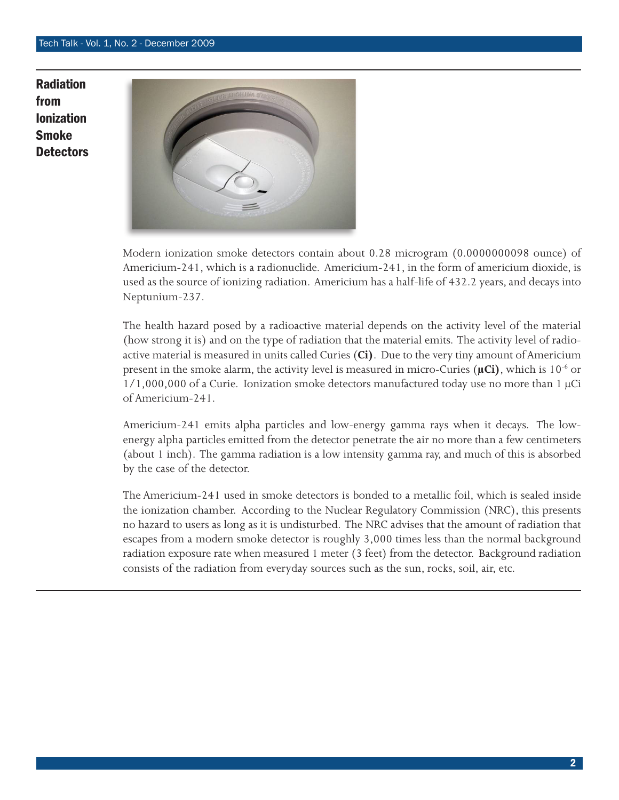Radiation from Ionization Smoke **Detectors** 



Modern ionization smoke detectors contain about 0.28 microgram (0.0000000098 ounce) of Americium-241, which is a radionuclide. Americium-241, in the form of americium dioxide, is used as the source of ionizing radiation. Americium has a half-life of 432.2 years, and decays into Neptunium-237.

The health hazard posed by a radioactive material depends on the activity level of the material (how strong it is) and on the type of radiation that the material emits. The activity level of radioactive material is measured in units called Curies (**Ci)**. Due to the very tiny amount of Americium present in the smoke alarm, the activity level is measured in micro-Curies (μCi), which is 10<sup>-6</sup> or  $1/1,000,000$  of a Curie. Ionization smoke detectors manufactured today use no more than 1  $\mu$ Ci of Americium-241.

Americium-241 emits [alpha particles](http://www.epa.gov/radtown/terms/index.html#alpha) and low-energy [gamma rays](http://www.epa.gov/radtown/terms/termghi.html#gamma) when it decays. The lowenergy alpha particles emitted from the detector penetrate the air no more than a few centimeters (about 1 inch). The gamma radiation is a low intensity gamma ray, and much of this is absorbed by the case of the detector.

The Americium-241 used in smoke detectors is bonded to a metallic foil, which is sealed inside the ionization chamber. According to the Nuclear Regulatory Commission (NRC), this presents no hazard to users as long as it is undisturbed. The NRC advises that the amount of radiation that escapes from a modern smoke detector is roughly 3,000 times less than the normal background radiation exposure rate when measured 1 meter (3 feet) from the detector. Background radiation consists of the radiation from everyday sources such as the sun, rocks, soil, air, etc.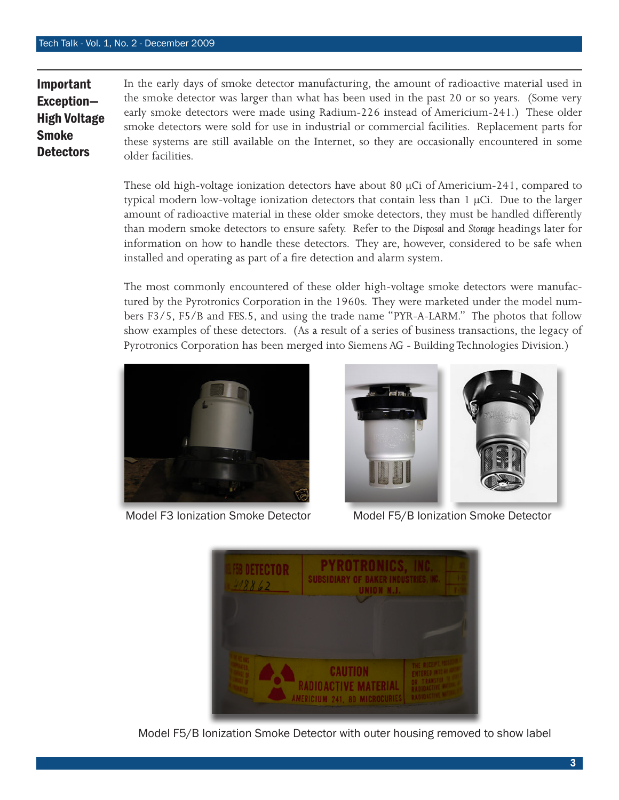Important

Smoke **Detectors** 

Exception— High Voltage In the early days of smoke detector manufacturing, the amount of radioactive material used in the smoke detector was larger than what has been used in the past 20 or so years. (Some very early smoke detectors were made using Radium-226 instead of Americium-241.) These older smoke detectors were sold for use in industrial or commercial facilities. Replacement parts for these systems are still available on the Internet, so they are occasionally encountered in some older facilities.

> These old high-voltage ionization detectors have about 80 μCi of Americium-241, compared to typical modern low-voltage ionization detectors that contain less than 1 μCi. Due to the larger amount of radioactive material in these older smoke detectors, they must be handled differently than modern smoke detectors to ensure safety. Refer to the *Disposal* and *Storage* headings later for information on how to handle these detectors. They are, however, considered to be safe when installed and operating as part of a fire detection and alarm system.

> The most commonly encountered of these older high-voltage smoke detectors were manufactured by the Pyrotronics Corporation in the 1960s. They were marketed under the model numbers F3/5, F5/B and FES.5, and using the trade name "PYR-A-LARM." The photos that follow show examples of these detectors. (As a result of a series of business transactions, the legacy of Pyrotronics Corporation has been merged into Siemens AG - Building Technologies Division.)





Model F3 Ionization Smoke Detector Model F5/B Ionization Smoke Detector



Model F5/B Ionization Smoke Detector with outer housing removed to show label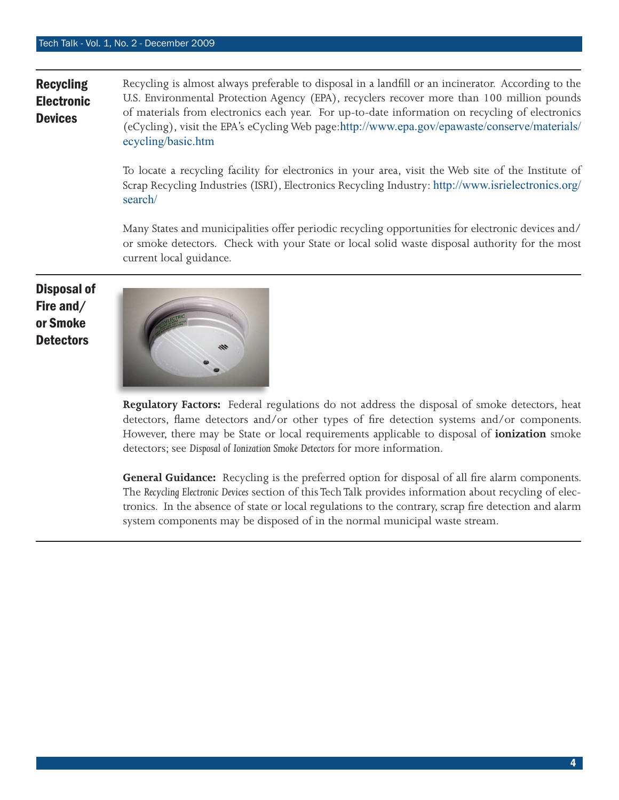## **Recycling** Electronic **Devices** Recycling is almost always preferable to disposal in a landfill or an incinerator. According to the U.S. Environmental Protection Agency (EPA), recyclers recover more than 100 million pounds of materials from electronics each year. For up-to-date information on recycling of electronics (eCycling), visit the EPA's eCycling Web page:[http://www.epa.gov/epawaste/conserve/materials/](http://www.epa.gov/epawaste/conserve/materials/ecycling/basic.htm) [ecycling/basic.htm](http://www.epa.gov/epawaste/conserve/materials/ecycling/basic.htm)

To locate a recycling facility for electronics in your area, visit the Web site of the Institute of Scrap Recycling Industries (ISRI), Electronics Recycling Industry: [http://www.isrielectronics.org/](http://www.isrielectronics.org/search/) [search/](http://www.isrielectronics.org/search/)

Many States and municipalities offer periodic recycling opportunities for electronic devices and/ or smoke detectors. Check with your State or local solid waste disposal authority for the most current local guidance.

Disposal of Fire and/ or Smoke **Detectors** 



**Regulatory Factors:** Federal regulations do not address the disposal of smoke detectors, heat detectors, flame detectors and/or other types of fire detection systems and/or components. However, there may be State or local requirements applicable to disposal of **ionization** smoke detectors; see *Disposal of Ionization Smoke Detectors* for more information.

**General Guidance:** Recycling is the preferred option for disposal of all fire alarm components. The *Recycling Electronic Devices* section of this Tech Talk provides information about recycling of electronics. In the absence of state or local regulations to the contrary, scrap fire detection and alarm system components may be disposed of in the normal municipal waste stream.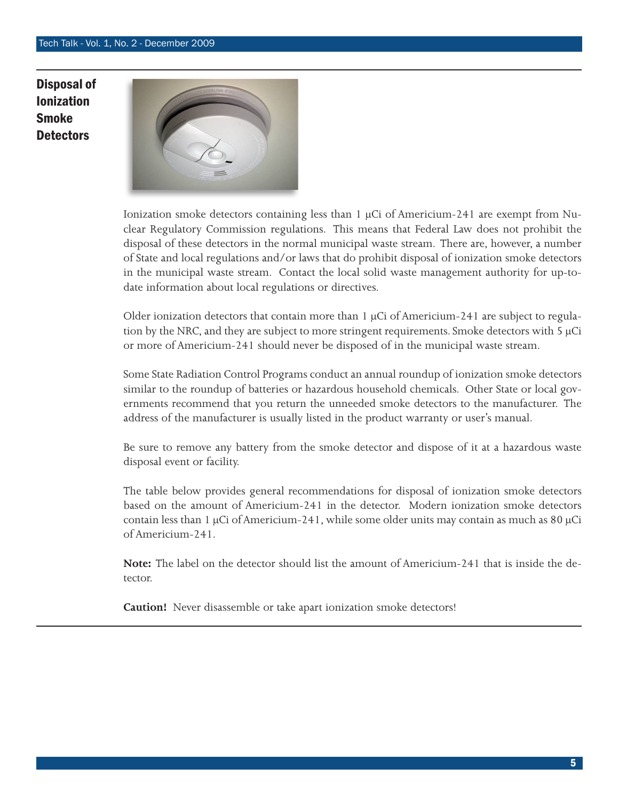## Disposal of Ionization **Smoke Detectors**



Ionization smoke detectors containing less than 1  $\mu$ Ci of Americium-241 are exempt from Nuclear Regulatory Commission regulations. This means that Federal Law does not prohibit the disposal of these detectors in the normal municipal waste stream. There are, however, a number of State and local regulations and/or laws that do prohibit disposal of ionization smoke detectors in the municipal waste stream. Contact the local solid waste management authority for up-todate information about local regulations or directives.

Older ionization detectors that contain more than 1 μCi of Americium-241 are subject to regulation by the NRC, and they are subject to more stringent requirements. Smoke detectors with 5  $\mu$ Ci or more of Americium-241 should never be disposed of in the municipal waste stream.

Some State Radiation Control Programs conduct an annual roundup of ionization smoke detectors similar to the roundup of batteries or hazardous household chemicals. Other State or local governments recommend that you return the unneeded smoke detectors to the manufacturer. The address of the manufacturer is usually listed in the product warranty or user's manual.

Be sure to remove any battery from the smoke detector and dispose of it at a hazardous waste disposal event or facility.

The table below provides general recommendations for disposal of ionization smoke detectors based on the amount of Americium-241 in the detector. Modern ionization smoke detectors contain less than 1  $\mu$ Ci of Americium-241, while some older units may contain as much as 80  $\mu$ Ci of Americium-241.

**Note:** The label on the detector should list the amount of Americium-241 that is inside the detector.

**Caution!** Never disassemble or take apart ionization smoke detectors!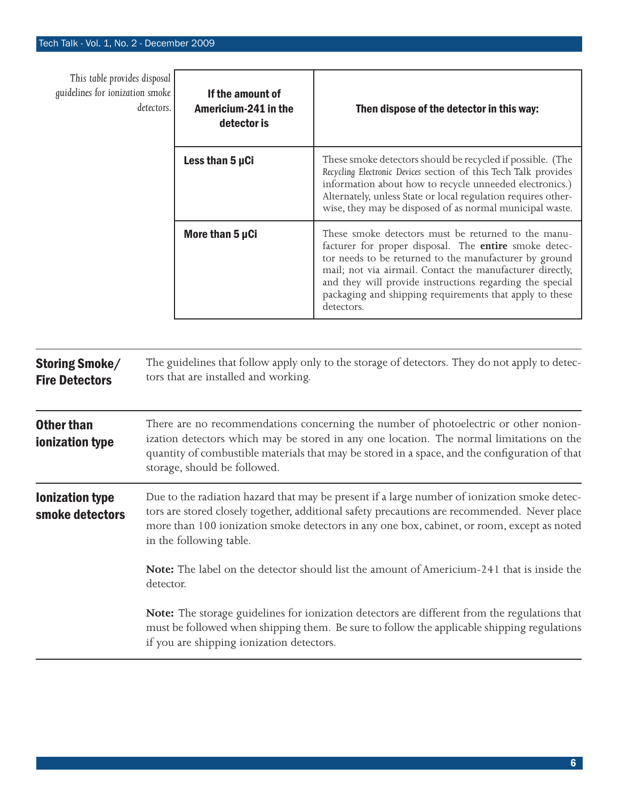| This table provides disposal<br>guidelines for ionization smoke | If the amount of<br>detectors.<br>Americium-241 in the<br>detector is | Then dispose of the detector in this way:                                                                                                                                                                                                                                                                                                                                |
|-----------------------------------------------------------------|-----------------------------------------------------------------------|--------------------------------------------------------------------------------------------------------------------------------------------------------------------------------------------------------------------------------------------------------------------------------------------------------------------------------------------------------------------------|
|                                                                 | Less than 5 µCi                                                       | These smoke detectors should be recycled if possible. (The<br>Recycling Electronic Devices section of this Tech Talk provides<br>information about how to recycle unneeded electronics.)<br>Alternately, unless State or local regulation requires other-<br>wise, they may be disposed of as normal municipal waste.                                                    |
|                                                                 | More than 5 µCi                                                       | These smoke detectors must be returned to the manu-<br>facturer for proper disposal. The entire smoke detec-<br>tor needs to be returned to the manufacturer by ground<br>mail; not via airmail. Contact the manufacturer directly,<br>and they will provide instructions regarding the special<br>packaging and shipping requirements that apply to these<br>detectors. |
| <b>Storing Smoke/</b><br><b>Fire Detectors</b>                  | tors that are installed and working.                                  | The guidelines that follow apply only to the storage of detectors. They do not apply to detec-                                                                                                                                                                                                                                                                           |

| <b>Other than</b> | There are no recommendations concerning the number of photoelectric or other nonion-                                           |
|-------------------|--------------------------------------------------------------------------------------------------------------------------------|
| ionization type   | ization detectors which may be stored in any one location. The normal limitations on the                                       |
|                   | quantity of combustible materials that may be stored in a space, and the configuration of that<br>storage, should be followed. |

Ionization type smoke detectors Due to the radiation hazard that may be present if a large number of ionization smoke detectors are stored closely together, additional safety precautions are recommended. Never place more than 100 ionization smoke detectors in any one box, cabinet, or room, except as noted in the following table.

> **Note:** The label on the detector should list the amount of Americium-241 that is inside the detector.

> **Note:** The storage guidelines for ionization detectors are different from the regulations that must be followed when shipping them. Be sure to follow the applicable shipping regulations if you are shipping ionization detectors.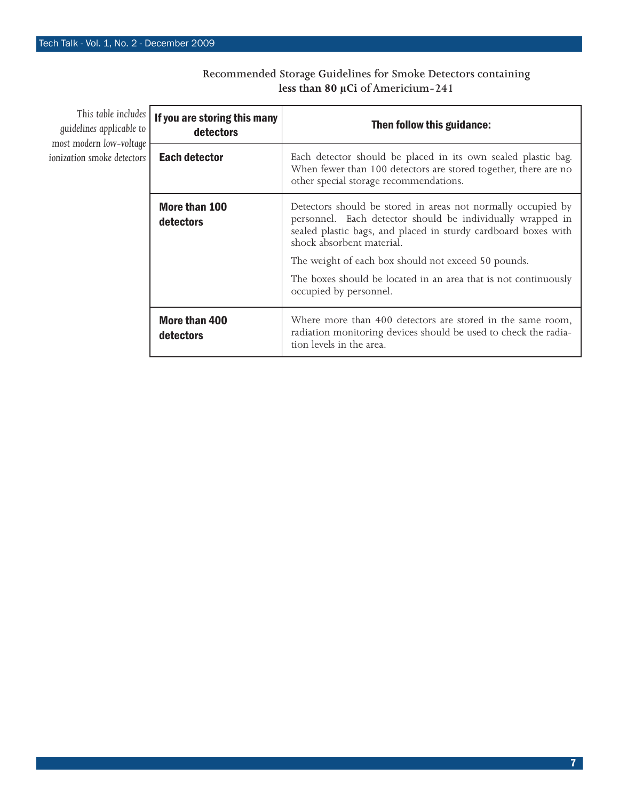| This table includes<br>guidelines applicable to<br>most modern low-voltage<br>ionization smoke detectors | If you are storing this many<br>detectors | Then follow this guidance:                                                                                                                                                                                                |
|----------------------------------------------------------------------------------------------------------|-------------------------------------------|---------------------------------------------------------------------------------------------------------------------------------------------------------------------------------------------------------------------------|
|                                                                                                          | <b>Each detector</b>                      | Each detector should be placed in its own sealed plastic bag.<br>When fewer than 100 detectors are stored together, there are no<br>other special storage recommendations.                                                |
|                                                                                                          | More than 100<br>detectors                | Detectors should be stored in areas not normally occupied by<br>personnel. Each detector should be individually wrapped in<br>sealed plastic bags, and placed in sturdy cardboard boxes with<br>shock absorbent material. |
|                                                                                                          |                                           | The weight of each box should not exceed 50 pounds.                                                                                                                                                                       |
|                                                                                                          |                                           | The boxes should be located in an area that is not continuously<br>occupied by personnel.                                                                                                                                 |
|                                                                                                          | More than 400<br>detectors                | Where more than 400 detectors are stored in the same room,<br>radiation monitoring devices should be used to check the radia-<br>tion levels in the area.                                                                 |

## **Recommended Storage Guidelines for Smoke Detectors containing less than 80 μCi of Americium-241**